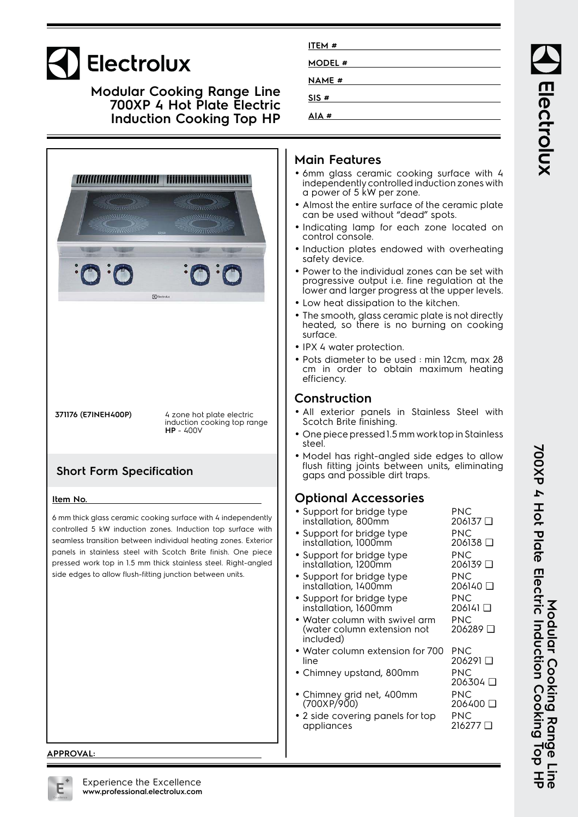# Electrolux

#### **Modular Cooking Range Line 700XP 4 Hot Plate Electric Induction Cooking Top HP**



## **Main Features**

**ITEM # MODEL # NAME # SIS # AIA #**

- 6mm glass ceramic cooking surface with 4 independently controlled induction zones with a power of 5 kW per zone.
- Almost the entire surface of the ceramic plate can be used without "dead" spots.
- Indicating lamp for each zone located on control console.
- Induction plates endowed with overheating safety device.
- Power to the individual zones can be set with progressive output i.e. fine regulation at the lower and larger progress at the upper levels.
- Low heat dissipation to the kitchen.
- • The smooth, glass ceramic plate is not directly heated, so there is no burning on cooking surface.
- IPX 4 water protection.
- Pots diameter to be used : min 12cm, max 28 cm in order to obtain maximum heating efficiency.

#### **Construction**

- All exterior panels in Stainless Steel with Scotch Brite finishing.
- One piece pressed 1.5 mm work top in Stainless steel.
- • Model has right-angled side edges to allow flush fitting joints between units, eliminating gaps and possible dirt traps.

## **Optional Accessories**

| • Support for bridge type<br>installation, 800mm                                   | PNC<br>206137 □ |
|------------------------------------------------------------------------------------|-----------------|
| • Support for bridge type<br>installation, 1000mm                                  | PNC<br>206138 □ |
| • Support for bridge type<br>installation, 1200mm                                  | PNC<br>206139 □ |
| • Support for bridge type<br>installation, 1400mm                                  | PNC<br>206140 □ |
| $\bullet$ Support for bridge type<br>installation, 1600mm                          | PNC<br>206141 그 |
| $\bullet$ Water column with swivel arm<br>(water column extension not<br>included) | PNC<br>206289 □ |
| $\bullet$ Water column extension for 700 $\bullet$<br>line                         | PNC<br>206291 □ |
| • Chimney upstand, 800mm                                                           | PNC<br>206304 □ |
| Chimney grid net, 400mm<br>(700XP/900)                                             | PNC<br>ם 206400 |
| • 2 side covering panels for top<br>appliances                                     | PNC<br>ם 216277 |
|                                                                                    |                 |

Electrolux

**APPROVAL:**

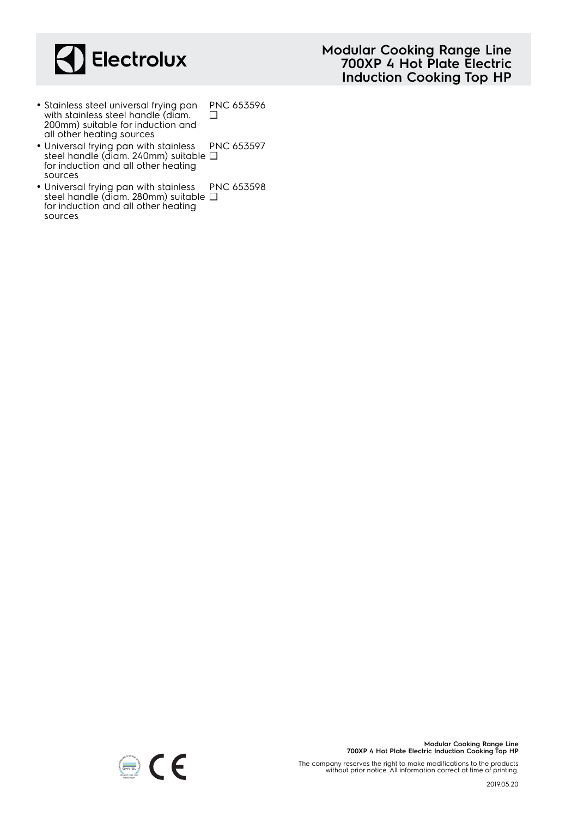

- **Modular Cooking Range Line 700XP 4 Hot Plate Electric Induction Cooking Top HP**
- Stainless steel universal frying pan with stainless steel handle (diam. 200mm) suitable for induction and all other heating sources PNC 653596  $\Box$
- Universal frying pan with stainless steel handle (diam. 240mm) suitable ❑ for induction and all other heating sources PNC 653597
- Universal frying pan with stainless steel handle (diam. 280mm) suitable ❑for induction and all other heating sources PNC 653598



The company reserves the right to make modifications to the products without prior notice. All information correct at time of printing.